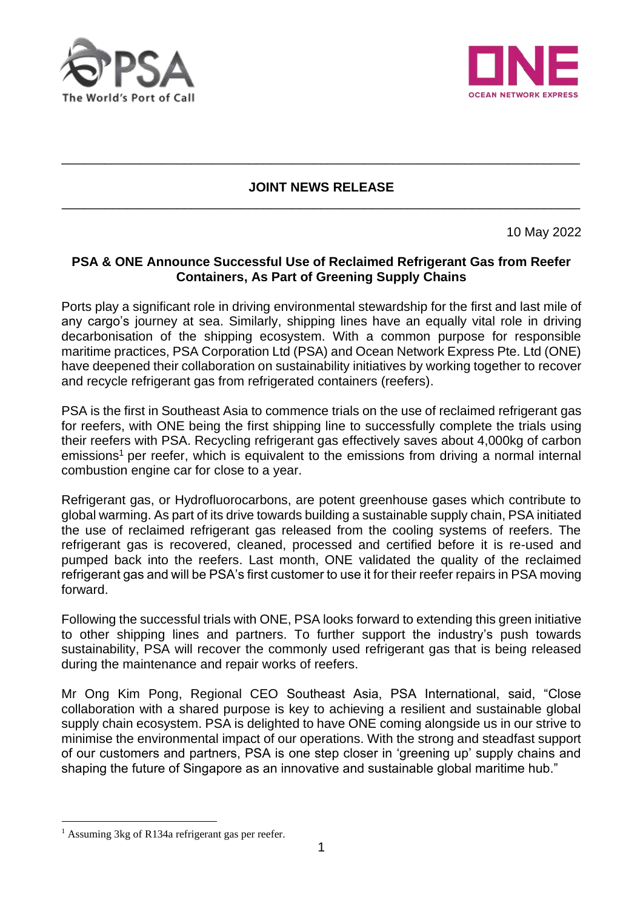



## **JOINT NEWS RELEASE** \_\_\_\_\_\_\_\_\_\_\_\_\_\_\_\_\_\_\_\_\_\_\_\_\_\_\_\_\_\_\_\_\_\_\_\_\_\_\_\_\_\_\_\_\_\_\_\_\_\_\_\_\_\_\_\_\_\_\_\_\_\_\_\_\_\_\_\_\_\_\_\_

\_\_\_\_\_\_\_\_\_\_\_\_\_\_\_\_\_\_\_\_\_\_\_\_\_\_\_\_\_\_\_\_\_\_\_\_\_\_\_\_\_\_\_\_\_\_\_\_\_\_\_\_\_\_\_\_\_\_\_\_\_\_\_\_\_\_\_\_\_\_\_\_

10 May 2022

# **PSA & ONE Announce Successful Use of Reclaimed Refrigerant Gas from Reefer Containers, As Part of Greening Supply Chains**

Ports play a significant role in driving environmental stewardship for the first and last mile of any cargo's journey at sea. Similarly, shipping lines have an equally vital role in driving decarbonisation of the shipping ecosystem. With a common purpose for responsible maritime practices, PSA Corporation Ltd (PSA) and Ocean Network Express Pte. Ltd (ONE) have deepened their collaboration on sustainability initiatives by working together to recover and recycle refrigerant gas from refrigerated containers (reefers).

PSA is the first in Southeast Asia to commence trials on the use of reclaimed refrigerant gas for reefers, with ONE being the first shipping line to successfully complete the trials using their reefers with PSA. Recycling refrigerant gas effectively saves about 4,000kg of carbon emissions<sup>1</sup> per reefer, which is equivalent to the emissions from driving a normal internal combustion engine car for close to a year.

Refrigerant gas, or Hydrofluorocarbons, are potent greenhouse gases which contribute to global warming. As part of its drive towards building a sustainable supply chain, PSA initiated the use of reclaimed refrigerant gas released from the cooling systems of reefers. The refrigerant gas is recovered, cleaned, processed and certified before it is re-used and pumped back into the reefers. Last month, ONE validated the quality of the reclaimed refrigerant gas and will be PSA's first customer to use it for their reefer repairs in PSA moving forward.

Following the successful trials with ONE, PSA looks forward to extending this green initiative to other shipping lines and partners. To further support the industry's push towards sustainability, PSA will recover the commonly used refrigerant gas that is being released during the maintenance and repair works of reefers.

Mr Ong Kim Pong, Regional CEO Southeast Asia, PSA International, said, "Close collaboration with a shared purpose is key to achieving a resilient and sustainable global supply chain ecosystem. PSA is delighted to have ONE coming alongside us in our strive to minimise the environmental impact of our operations. With the strong and steadfast support of our customers and partners, PSA is one step closer in 'greening up' supply chains and shaping the future of Singapore as an innovative and sustainable global maritime hub."

 $<sup>1</sup>$  Assuming 3kg of R134a refrigerant gas per reefer.</sup>